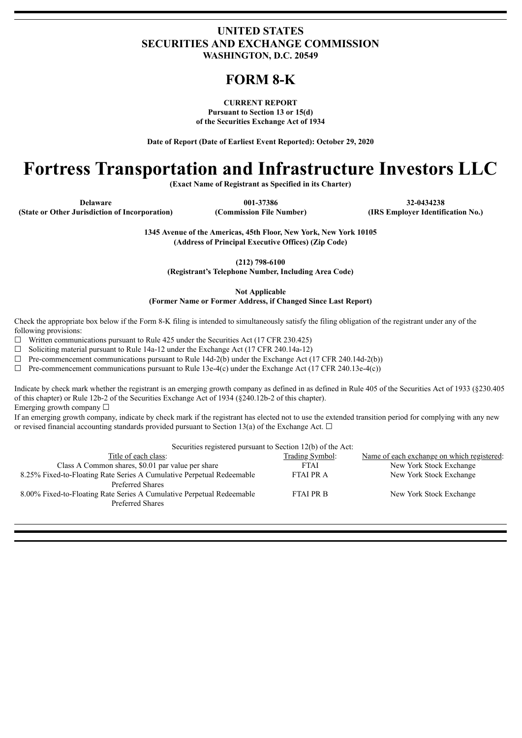## **UNITED STATES SECURITIES AND EXCHANGE COMMISSION WASHINGTON, D.C. 20549**

# **FORM 8-K**

**CURRENT REPORT Pursuant to Section 13 or 15(d) of the Securities Exchange Act of 1934**

**Date of Report (Date of Earliest Event Reported): October 29, 2020**

# **Fortress Transportation and Infrastructure Investors LLC**

**(Exact Name of Registrant as Specified in its Charter)**

**Delaware 001-37386 32-0434238 (State or Other Jurisdiction of Incorporation) (Commission File Number) (IRS Employer Identification No.)**

> **1345 Avenue of the Americas, 45th Floor, New York, New York 10105 (Address of Principal Executive Offices) (Zip Code)**

> > **(212) 798-6100**

**(Registrant's Telephone Number, Including Area Code)**

**Not Applicable**

**(Former Name or Former Address, if Changed Since Last Report)**

Check the appropriate box below if the Form 8-K filing is intended to simultaneously satisfy the filing obligation of the registrant under any of the following provisions:

☐ Written communications pursuant to Rule 425 under the Securities Act (17 CFR 230.425)

☐ Soliciting material pursuant to Rule 14a-12 under the Exchange Act (17 CFR 240.14a-12)

 $\Box$  Pre-commencement communications pursuant to Rule 14d-2(b) under the Exchange Act (17 CFR 240.14d-2(b))

 $\Box$  Pre-commencement communications pursuant to Rule 13e-4(c) under the Exchange Act (17 CFR 240.13e-4(c))

Indicate by check mark whether the registrant is an emerging growth company as defined in as defined in Rule 405 of the Securities Act of 1933 (§230.405 of this chapter) or Rule 12b-2 of the Securities Exchange Act of 1934 (§240.12b-2 of this chapter).

Emerging growth company  $\Box$ 

If an emerging growth company, indicate by check mark if the registrant has elected not to use the extended transition period for complying with any new or revised financial accounting standards provided pursuant to Section 13(a) of the Exchange Act.  $\Box$ 

| Securities registered pursuant to Section 12(b) of the Act:                                      |                        |                                            |
|--------------------------------------------------------------------------------------------------|------------------------|--------------------------------------------|
| Title of each class:                                                                             | <b>Trading Symbol:</b> | Name of each exchange on which registered: |
| Class A Common shares, \$0.01 par value per share                                                | <b>FTAI</b>            | New York Stock Exchange                    |
| 8.25% Fixed-to-Floating Rate Series A Cumulative Perpetual Redeemable<br><b>Preferred Shares</b> | <b>FTAI PRA</b>        | New York Stock Exchange                    |
| 8.00% Fixed-to-Floating Rate Series A Cumulative Perpetual Redeemable<br><b>Preferred Shares</b> | <b>FTAI PR B</b>       | New York Stock Exchange                    |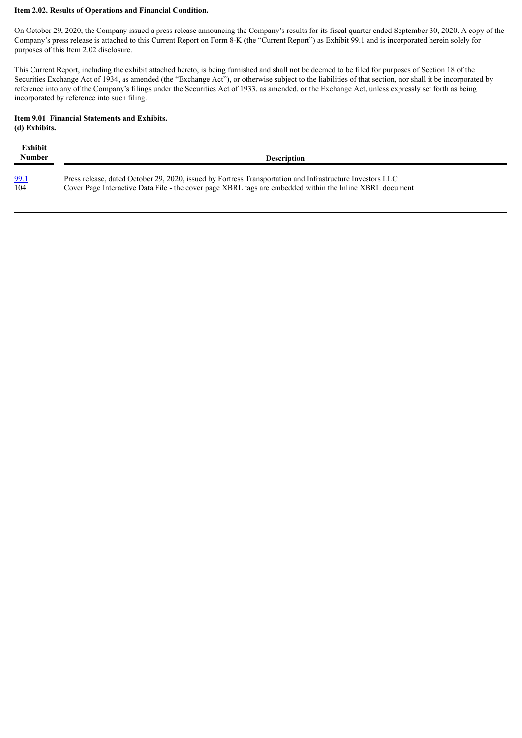#### **Item 2.02. Results of Operations and Financial Condition.**

On October 29, 2020, the Company issued a press release announcing the Company's results for its fiscal quarter ended September 30, 2020. A copy of the Company's press release is attached to this Current Report on Form 8-K (the "Current Report") as Exhibit 99.1 and is incorporated herein solely for purposes of this Item 2.02 disclosure.

This Current Report, including the exhibit attached hereto, is being furnished and shall not be deemed to be filed for purposes of Section 18 of the Securities Exchange Act of 1934, as amended (the "Exchange Act"), or otherwise subject to the liabilities of that section, nor shall it be incorporated by reference into any of the Company's filings under the Securities Act of 1933, as amended, or the Exchange Act, unless expressly set forth as being incorporated by reference into such filing.

#### **Item 9.01 Financial Statements and Exhibits. (d) Exhibits.**

| Exhibit<br><b>Number</b> | <b>Description</b>                                                                                        |
|--------------------------|-----------------------------------------------------------------------------------------------------------|
| 99.1                     | Press release, dated October 29, 2020, issued by Fortress Transportation and Infrastructure Investors LLC |
| 104                      | Cover Page Interactive Data File - the cover page XBRL tags are embedded within the Inline XBRL document  |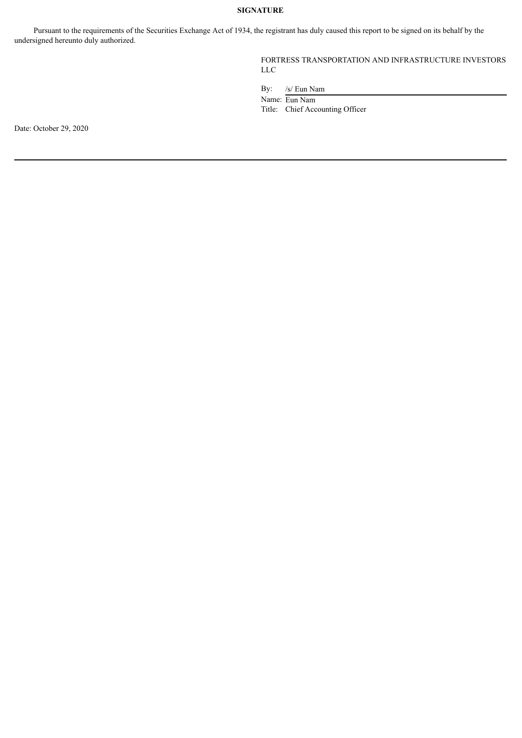#### **SIGNATURE**

Pursuant to the requirements of the Securities Exchange Act of 1934, the registrant has duly caused this report to be signed on its behalf by the undersigned hereunto duly authorized.

> FORTRESS TRANSPORTATION AND INFRASTRUCTURE INVESTORS LLC

By: /s/ Eun Nam

Name: Eun Nam

Title: Chief Accounting Officer

Date: October 29, 2020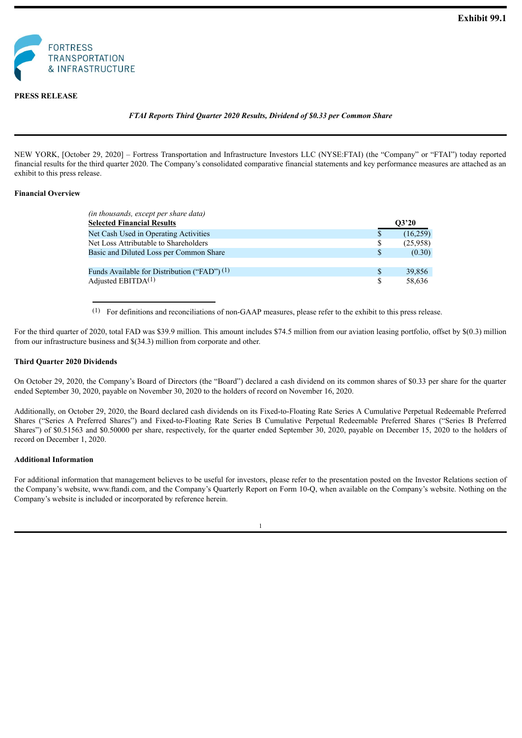<span id="page-3-0"></span>

#### **PRESS RELEASE**

#### *FTAI Reports Third Quarter 2020 Results, Dividend of \$0.33 per Common Share*

NEW YORK, [October 29, 2020] – Fortress Transportation and Infrastructure Investors LLC (NYSE:FTAI) (the "Company" or "FTAI") today reported financial results for the third quarter 2020. The Company's consolidated comparative financial statements and key performance measures are attached as an exhibit to this press release.

#### **Financial Overview**

| <i>(in thousands, except per share data)</i>   |   |          |
|------------------------------------------------|---|----------|
| <b>Selected Financial Results</b>              |   | O3'20    |
| Net Cash Used in Operating Activities          |   | (16,259) |
| Net Loss Attributable to Shareholders          | S | (25,958) |
| Basic and Diluted Loss per Common Share        |   | (0.30)   |
|                                                |   |          |
| Funds Available for Distribution ("FAD") $(1)$ | S | 39.856   |
| Adjusted EBITDA $(1)$                          |   | 58,636   |

(1) For definitions and reconciliations of non-GAAP measures, please refer to the exhibit to this press release.

For the third quarter of 2020, total FAD was \$39.9 million. This amount includes \$74.5 million from our aviation leasing portfolio, offset by \$(0.3) million from our infrastructure business and \$(34.3) million from corporate and other.

#### **Third Quarter 2020 Dividends**

On October 29, 2020, the Company's Board of Directors (the "Board") declared a cash dividend on its common shares of \$0.33 per share for the quarter ended September 30, 2020, payable on November 30, 2020 to the holders of record on November 16, 2020.

Additionally, on October 29, 2020, the Board declared cash dividends on its Fixed-to-Floating Rate Series A Cumulative Perpetual Redeemable Preferred Shares ("Series A Preferred Shares") and Fixed-to-Floating Rate Series B Cumulative Perpetual Redeemable Preferred Shares ("Series B Preferred Shares") of \$0.51563 and \$0.50000 per share, respectively, for the quarter ended September 30, 2020, payable on December 15, 2020 to the holders of record on December 1, 2020.

#### **Additional Information**

For additional information that management believes to be useful for investors, please refer to the presentation posted on the Investor Relations section of the Company's website, www.ftandi.com, and the Company's Quarterly Report on Form 10-Q, when available on the Company's website. Nothing on the Company's website is included or incorporated by reference herein.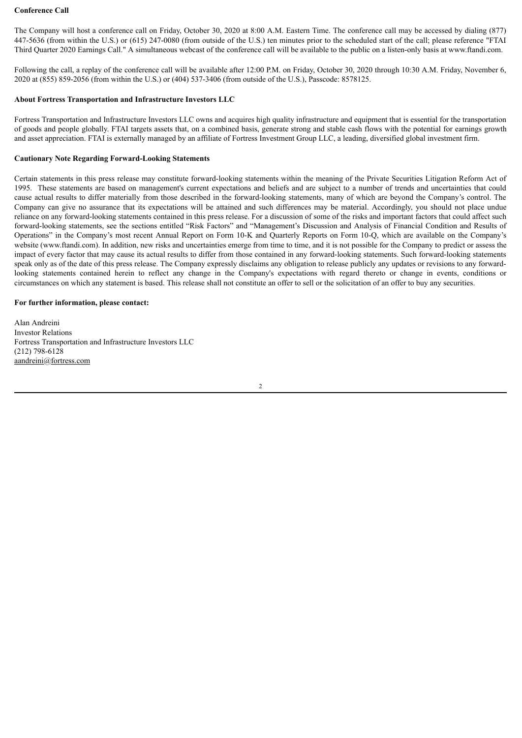#### **Conference Call**

The Company will host a conference call on Friday, October 30, 2020 at 8:00 A.M. Eastern Time. The conference call may be accessed by dialing (877) 447-5636 (from within the U.S.) or (615) 247-0080 (from outside of the U.S.) ten minutes prior to the scheduled start of the call; please reference "FTAI Third Quarter 2020 Earnings Call." A simultaneous webcast of the conference call will be available to the public on a listen-only basis at www.ftandi.com.

Following the call, a replay of the conference call will be available after 12:00 P.M. on Friday, October 30, 2020 through 10:30 A.M. Friday, November 6, 2020 at (855) 859-2056 (from within the U.S.) or (404) 537-3406 (from outside of the U.S.), Passcode: 8578125.

#### **About Fortress Transportation and Infrastructure Investors LLC**

Fortress Transportation and Infrastructure Investors LLC owns and acquires high quality infrastructure and equipment that is essential for the transportation of goods and people globally. FTAI targets assets that, on a combined basis, generate strong and stable cash flows with the potential for earnings growth and asset appreciation. FTAI is externally managed by an affiliate of Fortress Investment Group LLC, a leading, diversified global investment firm.

#### **Cautionary Note Regarding Forward-Looking Statements**

Certain statements in this press release may constitute forward-looking statements within the meaning of the Private Securities Litigation Reform Act of 1995. These statements are based on management's current expectations and beliefs and are subject to a number of trends and uncertainties that could cause actual results to differ materially from those described in the forward-looking statements, many of which are beyond the Company's control. The Company can give no assurance that its expectations will be attained and such differences may be material. Accordingly, you should not place undue reliance on any forward-looking statements contained in this press release. For a discussion of some of the risks and important factors that could affect such forward-looking statements, see the sections entitled "Risk Factors" and "Management's Discussion and Analysis of Financial Condition and Results of Operations" in the Company's most recent Annual Report on Form 10-K and Quarterly Reports on Form 10-Q, which are available on the Company's website (www.ftandi.com). In addition, new risks and uncertainties emerge from time to time, and it is not possible for the Company to predict or assess the impact of every factor that may cause its actual results to differ from those contained in any forward-looking statements. Such forward-looking statements speak only as of the date of this press release. The Company expressly disclaims any obligation to release publicly any updates or revisions to any forwardlooking statements contained herein to reflect any change in the Company's expectations with regard thereto or change in events, conditions or circumstances on which any statement is based. This release shall not constitute an offer to sell or the solicitation of an offer to buy any securities.

#### **For further information, please contact:**

Alan Andreini Investor Relations Fortress Transportation and Infrastructure Investors LLC (212) 798-6128 aandreini@fortress.com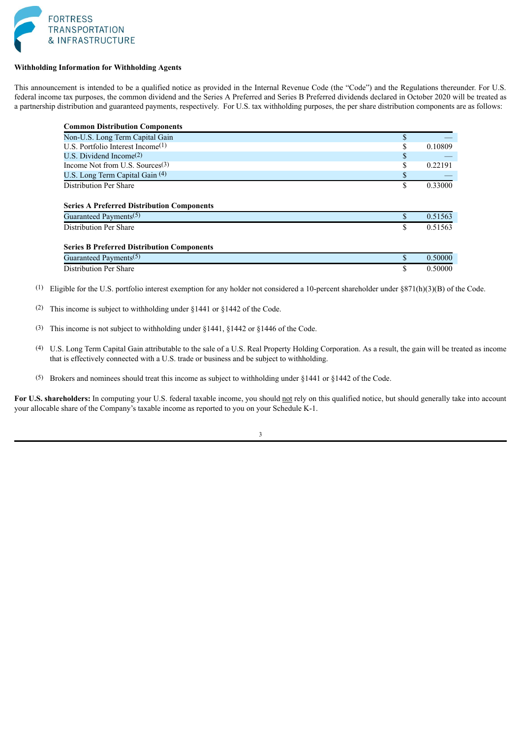

#### **Withholding Information for Withholding Agents**

This announcement is intended to be a qualified notice as provided in the Internal Revenue Code (the "Code") and the Regulations thereunder. For U.S. federal income tax purposes, the common dividend and the Series A Preferred and Series B Preferred dividends declared in October 2020 will be treated as a partnership distribution and guaranteed payments, respectively. For U.S. tax withholding purposes, the per share distribution components are as follows:

| <b>Common Distribution Components</b>             |     |         |
|---------------------------------------------------|-----|---------|
| Non-U.S. Long Term Capital Gain                   | \$. |         |
| U.S. Portfolio Interest Income $(1)$              |     | 0.10809 |
| U.S. Dividend Income $(2)$                        |     |         |
| Income Not from U.S. Sources $(3)$                |     | 0.22191 |
| U.S. Long Term Capital Gain (4)                   |     |         |
| Distribution Per Share                            | S   | 0.33000 |
| <b>Series A Preferred Distribution Components</b> |     |         |
| Guaranteed Payments <sup>(5)</sup>                |     | 0.51563 |
| Distribution Per Share                            |     | 0.51563 |
| <b>Series B Preferred Distribution Components</b> |     |         |
| Guaranteed Payments <sup>(5)</sup>                |     | 0.50000 |
| Distribution Per Share                            |     | 0.50000 |

- (1) Eligible for the U.S. portfolio interest exemption for any holder not considered a 10-percent shareholder under  $871(h)(3)(B)$  of the Code.
- (2) This income is subject to withholding under §1441 or §1442 of the Code.
- (3) This income is not subject to withholding under §1441, §1442 or §1446 of the Code.
- (4) U.S. Long Term Capital Gain attributable to the sale of a U.S. Real Property Holding Corporation. As a result, the gain will be treated as income that is effectively connected with a U.S. trade or business and be subject to withholding.
- (5) Brokers and nominees should treat this income as subject to withholding under §1441 or §1442 of the Code.

**For U.S. shareholders:** In computing your U.S. federal taxable income, you should not rely on this qualified notice, but should generally take into account your allocable share of the Company's taxable income as reported to you on your Schedule K-1.

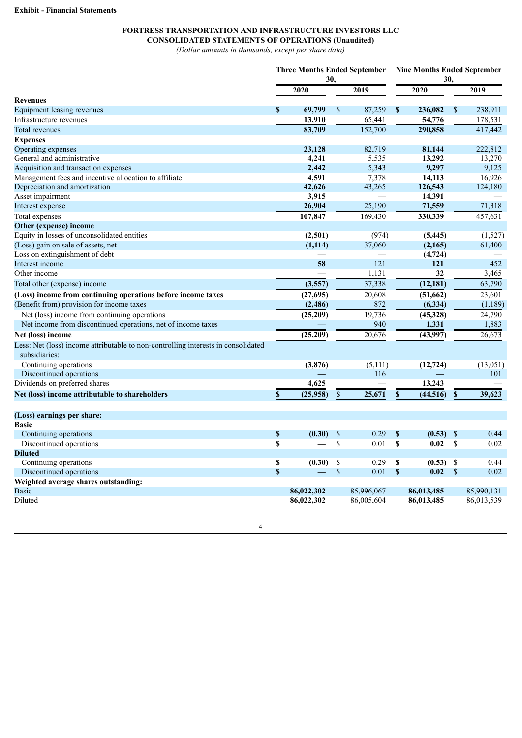#### **FORTRESS TRANSPORTATION AND INFRASTRUCTURE INVESTORS LLC CONSOLIDATED STATEMENTS OF OPERATIONS (Unaudited)**

*(Dollar amounts in thousands, except per share data)*

|                                                                                   | Three Months Ended September Nine Months Ended September<br>30, |            |                           |            |                           | 30,        |               |            |
|-----------------------------------------------------------------------------------|-----------------------------------------------------------------|------------|---------------------------|------------|---------------------------|------------|---------------|------------|
|                                                                                   |                                                                 | 2020       |                           | 2019       |                           | 2020       |               | 2019       |
| <b>Revenues</b>                                                                   |                                                                 |            |                           |            |                           |            |               |            |
| <b>Equipment leasing revenues</b>                                                 | $\mathbf S$                                                     | 69,799     | \$                        | 87,259     | S                         | 236,082    | \$            | 238,911    |
| Infrastructure revenues                                                           |                                                                 | 13,910     |                           | 65,441     |                           | 54,776     |               | 178,531    |
| <b>Total revenues</b>                                                             |                                                                 | 83,709     |                           | 152,700    |                           | 290.858    |               | 417,442    |
| <b>Expenses</b>                                                                   |                                                                 |            |                           |            |                           |            |               |            |
| Operating expenses                                                                |                                                                 | 23,128     |                           | 82,719     |                           | 81,144     |               | 222,812    |
| General and administrative                                                        |                                                                 | 4,241      |                           | 5,535      |                           | 13,292     |               | 13,270     |
| Acquisition and transaction expenses                                              |                                                                 | 2,442      |                           | 5,343      |                           | 9,297      |               | 9,125      |
| Management fees and incentive allocation to affiliate                             |                                                                 | 4,591      |                           | 7,378      |                           | 14,113     |               | 16,926     |
| Depreciation and amortization                                                     |                                                                 | 42,626     |                           | 43,265     |                           | 126,543    |               | 124,180    |
| Asset impairment                                                                  |                                                                 | 3,915      |                           |            |                           | 14,391     |               |            |
| Interest expense                                                                  |                                                                 | 26,904     |                           | 25,190     |                           | 71,559     |               | 71,318     |
| Total expenses                                                                    |                                                                 | 107,847    |                           | 169,430    |                           | 330,339    |               | 457,631    |
| Other (expense) income                                                            |                                                                 |            |                           |            |                           |            |               |            |
| Equity in losses of unconsolidated entities                                       |                                                                 | (2,501)    |                           | (974)      |                           | (5, 445)   |               | (1,527)    |
| (Loss) gain on sale of assets, net                                                |                                                                 | (1, 114)   |                           | 37,060     |                           | (2,165)    |               | 61,400     |
| Loss on extinguishment of debt                                                    |                                                                 |            |                           |            |                           | (4, 724)   |               |            |
| Interest income                                                                   |                                                                 | 58         |                           | 121        |                           | 121        |               | 452        |
| Other income                                                                      |                                                                 |            |                           | 1,131      |                           | 32         |               | 3,465      |
| Total other (expense) income                                                      |                                                                 | (3,557)    |                           | 37,338     |                           | (12, 181)  |               | 63,790     |
| (Loss) income from continuing operations before income taxes                      |                                                                 | (27, 695)  |                           | 20,608     |                           | (51,662)   |               | 23,601     |
| (Benefit from) provision for income taxes                                         |                                                                 | (2, 486)   |                           | 872        |                           | (6, 334)   |               | (1,189)    |
| Net (loss) income from continuing operations                                      |                                                                 | (25,209)   |                           | 19,736     |                           | (45,328)   |               | 24,790     |
| Net income from discontinued operations, net of income taxes                      |                                                                 |            |                           | 940        |                           | 1,331      |               | 1,883      |
| Net (loss) income                                                                 |                                                                 | (25,209)   |                           | 20,676     |                           | (43,997)   |               | 26,673     |
| Less: Net (loss) income attributable to non-controlling interests in consolidated |                                                                 |            |                           |            |                           |            |               |            |
| subsidiaries:                                                                     |                                                                 |            |                           |            |                           |            |               |            |
| Continuing operations                                                             |                                                                 | (3, 876)   |                           | (5, 111)   |                           | (12, 724)  |               | (13, 051)  |
| Discontinued operations                                                           |                                                                 |            |                           | 116        |                           |            |               | 101        |
| Dividends on preferred shares                                                     |                                                                 | 4,625      |                           |            |                           | 13,243     |               |            |
|                                                                                   |                                                                 |            |                           |            |                           |            |               |            |
| Net (loss) income attributable to shareholders                                    | \$                                                              | (25,958)   | $\pmb{\mathbb{S}}$        | 25,671     | S                         | (44, 516)  | $\mathbb S$   | 39,623     |
| (Loss) earnings per share:                                                        |                                                                 |            |                           |            |                           |            |               |            |
| <b>Basic</b>                                                                      |                                                                 |            |                           |            |                           |            |               |            |
| Continuing operations                                                             | \$                                                              | (0.30)     | \$                        | 0.29       | $\mathbf S$               | (0.53)     | \$            | 0.44       |
| Discontinued operations                                                           | \$                                                              |            | \$                        | 0.01       | \$                        | 0.02       | $\mathcal{S}$ | 0.02       |
| <b>Diluted</b>                                                                    |                                                                 |            |                           |            |                           |            |               |            |
| Continuing operations                                                             | \$                                                              | (0.30)     | \$                        | 0.29       | $\mathbf{s}$              | (0.53)     | \$            | 0.44       |
| Discontinued operations                                                           | \$                                                              |            | $\boldsymbol{\mathsf{S}}$ | 0.01       | $\boldsymbol{\mathsf{s}}$ | 0.02       | \$            | 0.02       |
| Weighted average shares outstanding:                                              |                                                                 |            |                           |            |                           |            |               |            |
| Basic                                                                             |                                                                 | 86,022,302 |                           | 85,996,067 |                           | 86,013,485 |               | 85,990,131 |
| Diluted                                                                           |                                                                 | 86,022,302 |                           | 86,005,604 |                           | 86,013,485 |               | 86,013,539 |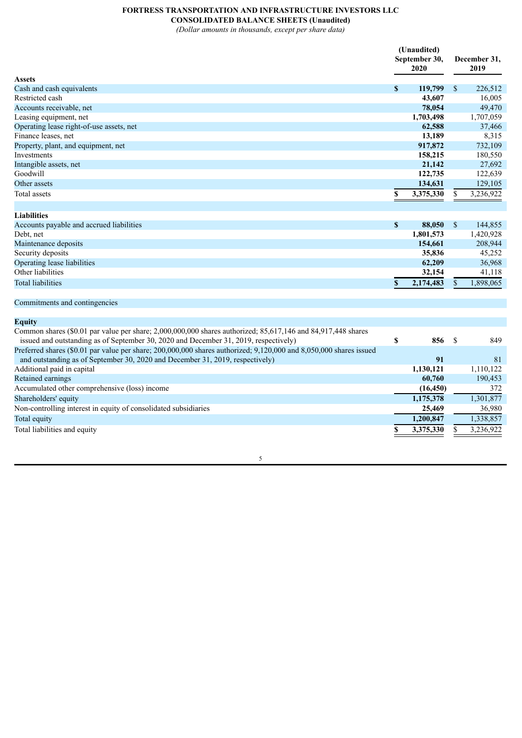## **FORTRESS TRANSPORTATION AND INFRASTRUCTURE INVESTORS LLC**

**CONSOLIDATED BALANCE SHEETS (Unaudited)**

*(Dollar amounts in thousands, except per share data)*

|                                                                                                                    |              | (Unaudited)<br>September 30,<br>2020 |                 | December 31,<br>2019 |
|--------------------------------------------------------------------------------------------------------------------|--------------|--------------------------------------|-----------------|----------------------|
| <b>Assets</b>                                                                                                      |              |                                      |                 |                      |
| Cash and cash equivalents                                                                                          | $\mathbf S$  | 119,799                              | $\mathcal{S}$   | 226,512              |
| Restricted cash                                                                                                    |              | 43,607                               |                 | 16,005               |
| Accounts receivable, net                                                                                           |              | 78,054                               |                 | 49,470               |
| Leasing equipment, net                                                                                             |              | 1,703,498                            |                 | 1,707,059            |
| Operating lease right-of-use assets, net                                                                           |              | 62,588                               |                 | 37,466               |
| Finance leases, net                                                                                                |              | 13,189                               |                 | 8,315                |
| Property, plant, and equipment, net                                                                                |              | 917,872                              |                 | 732,109              |
| <b>Investments</b>                                                                                                 |              | 158,215                              |                 | 180,550              |
| Intangible assets, net                                                                                             |              | 21,142                               |                 | 27,692               |
| Goodwill                                                                                                           |              | 122,735                              |                 | 122,639              |
| Other assets                                                                                                       |              | 134,631                              |                 | 129,105              |
| Total assets                                                                                                       | S            | 3,375,330                            | \$              | 3,236,922            |
|                                                                                                                    |              |                                      |                 |                      |
| <b>Liabilities</b>                                                                                                 |              |                                      |                 |                      |
| Accounts payable and accrued liabilities                                                                           | $\mathbf{s}$ | 88,050                               | $\mathcal{S}$   | 144,855              |
| Debt, net                                                                                                          |              | 1,801,573                            |                 | 1,420,928            |
| Maintenance deposits                                                                                               |              | 154,661                              |                 | 208,944              |
| Security deposits                                                                                                  |              | 35,836                               |                 | 45,252               |
| Operating lease liabilities                                                                                        |              | 62,209                               |                 | 36,968               |
| Other liabilities                                                                                                  |              | 32,154                               |                 | 41,118               |
| <b>Total liabilities</b>                                                                                           | S            | 2,174,483                            | \$              | 1,898,065            |
| Commitments and contingencies                                                                                      |              |                                      |                 |                      |
| <b>Equity</b>                                                                                                      |              |                                      |                 |                      |
| Common shares (\$0.01 par value per share; 2,000,000,000 shares authorized; 85,617,146 and 84,917,448 shares       |              |                                      |                 |                      |
| issued and outstanding as of September 30, 2020 and December 31, 2019, respectively)                               | \$           | 856                                  | <sup>\$</sup>   | 849                  |
| Preferred shares (\$0.01 par value per share; 200,000,000 shares authorized; 9,120,000 and 8,050,000 shares issued |              |                                      |                 |                      |
| and outstanding as of September 30, 2020 and December 31, 2019, respectively)                                      |              | 91                                   |                 | 81                   |
| Additional paid in capital                                                                                         |              | 1,130,121                            |                 | 1,110,122            |
| Retained earnings                                                                                                  |              | 60,760                               |                 | 190,453              |
| Accumulated other comprehensive (loss) income                                                                      |              | (16, 450)                            |                 | 372                  |
| Shareholders' equity                                                                                               |              | 1,175,378                            |                 | 1,301,877            |
| Non-controlling interest in equity of consolidated subsidiaries                                                    |              | 25,469                               |                 | 36,980               |
| Total equity                                                                                                       |              | 1,200,847                            |                 | 1,338,857            |
| Total liabilities and equity                                                                                       | \$           | 3,375,330                            | $\overline{\$}$ | 3,236,922            |
|                                                                                                                    |              |                                      |                 |                      |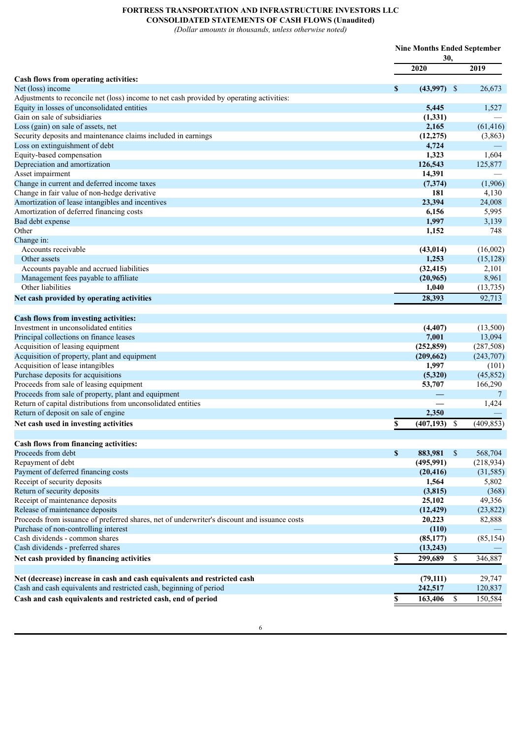# **FORTRESS TRANSPORTATION AND INFRASTRUCTURE INVESTORS LLC**

**CONSOLIDATED STATEMENTS OF CASH FLOWS (Unaudited)**

*(Dollar amounts in thousands, unless otherwise noted)*

|                                                                                              | <b>Nine Months Ended September</b><br>30, |                          |            |  |  |
|----------------------------------------------------------------------------------------------|-------------------------------------------|--------------------------|------------|--|--|
|                                                                                              |                                           | 2020                     | 2019       |  |  |
| Cash flows from operating activities:                                                        |                                           |                          |            |  |  |
| Net (loss) income                                                                            | \$                                        | $(43,997)$ \$            | 26,673     |  |  |
| Adjustments to reconcile net (loss) income to net cash provided by operating activities:     |                                           |                          |            |  |  |
| Equity in losses of unconsolidated entities                                                  |                                           | 5,445                    | 1,527      |  |  |
| Gain on sale of subsidiaries                                                                 |                                           | (1, 331)                 |            |  |  |
| Loss (gain) on sale of assets, net                                                           |                                           | 2,165                    | (61, 416)  |  |  |
| Security deposits and maintenance claims included in earnings                                |                                           | (12, 275)                | (3,863)    |  |  |
| Loss on extinguishment of debt                                                               |                                           | 4,724                    |            |  |  |
| Equity-based compensation                                                                    |                                           | 1,323                    | 1,604      |  |  |
| Depreciation and amortization                                                                |                                           | 126,543                  | 125,877    |  |  |
| Asset impairment                                                                             |                                           | 14,391                   |            |  |  |
| Change in current and deferred income taxes                                                  |                                           | (7, 374)                 | (1,906)    |  |  |
| Change in fair value of non-hedge derivative                                                 |                                           | 181                      | 4,130      |  |  |
| Amortization of lease intangibles and incentives                                             |                                           | 23,394                   | 24,008     |  |  |
| Amortization of deferred financing costs                                                     |                                           | 6,156                    | 5,995      |  |  |
| Bad debt expense                                                                             |                                           | 1,997                    | 3,139      |  |  |
| Other                                                                                        |                                           | 1,152                    | 748        |  |  |
| Change in:                                                                                   |                                           |                          |            |  |  |
| Accounts receivable                                                                          |                                           | (43, 014)                | (16,002)   |  |  |
| Other assets                                                                                 |                                           | 1,253                    | (15, 128)  |  |  |
| Accounts payable and accrued liabilities                                                     |                                           | (32, 415)                | 2,101      |  |  |
| Management fees payable to affiliate                                                         |                                           | (20,965)                 | 8,961      |  |  |
| Other liabilities                                                                            |                                           | 1,040                    | (13, 735)  |  |  |
| Net cash provided by operating activities                                                    |                                           | 28,393                   | 92,713     |  |  |
| Cash flows from investing activities:                                                        |                                           |                          |            |  |  |
| Investment in unconsolidated entities                                                        |                                           | (4, 407)                 | (13,500)   |  |  |
| Principal collections on finance leases                                                      |                                           | 7,001                    | 13,094     |  |  |
| Acquisition of leasing equipment                                                             |                                           | (252, 859)               | (287, 508) |  |  |
| Acquisition of property, plant and equipment                                                 |                                           | (209, 662)               | (243,707)  |  |  |
| Acquisition of lease intangibles                                                             |                                           | 1,997                    | (101)      |  |  |
| Purchase deposits for acquisitions                                                           |                                           | (5,320)                  | (45, 852)  |  |  |
| Proceeds from sale of leasing equipment                                                      |                                           | 53,707                   | 166,290    |  |  |
| Proceeds from sale of property, plant and equipment                                          |                                           |                          | 7          |  |  |
| Return of capital distributions from unconsolidated entities                                 |                                           |                          | 1,424      |  |  |
| Return of deposit on sale of engine                                                          |                                           | 2,350                    |            |  |  |
| Net cash used in investing activities                                                        | \$                                        | \$<br>(407, 193)         | (409, 853) |  |  |
|                                                                                              |                                           |                          |            |  |  |
| Cash flows from financing activities:                                                        |                                           |                          |            |  |  |
| Proceeds from debt                                                                           | \$                                        | 883,981<br>$\mathcal{S}$ | 568,704    |  |  |
| Repayment of debt                                                                            |                                           | (495, 991)               | (218, 934) |  |  |
| Payment of deferred financing costs                                                          |                                           | (20, 416)                | (31, 585)  |  |  |
| Receipt of security deposits                                                                 |                                           | 1,564                    | 5,802      |  |  |
| Return of security deposits                                                                  |                                           | (3, 815)                 | (368)      |  |  |
| Receipt of maintenance deposits                                                              |                                           | 25,102                   | 49,356     |  |  |
| Release of maintenance deposits                                                              |                                           | (12, 429)                | (23, 822)  |  |  |
| Proceeds from issuance of preferred shares, net of underwriter's discount and issuance costs |                                           | 20,223                   | 82,888     |  |  |
| Purchase of non-controlling interest                                                         |                                           | (110)                    |            |  |  |
| Cash dividends - common shares                                                               |                                           | (85, 177)                | (85, 154)  |  |  |
| Cash dividends - preferred shares                                                            |                                           | (13,243)                 |            |  |  |
| Net cash provided by financing activities                                                    | \$                                        | \$<br>299,689            | 346,887    |  |  |
| Net (decrease) increase in cash and cash equivalents and restricted cash                     |                                           | (79, 111)                | 29,747     |  |  |
| Cash and cash equivalents and restricted cash, beginning of period                           |                                           | 242,517                  | 120,837    |  |  |
|                                                                                              |                                           |                          |            |  |  |
| Cash and cash equivalents and restricted cash, end of period                                 | \$                                        | \$<br>163,406            | 150,584    |  |  |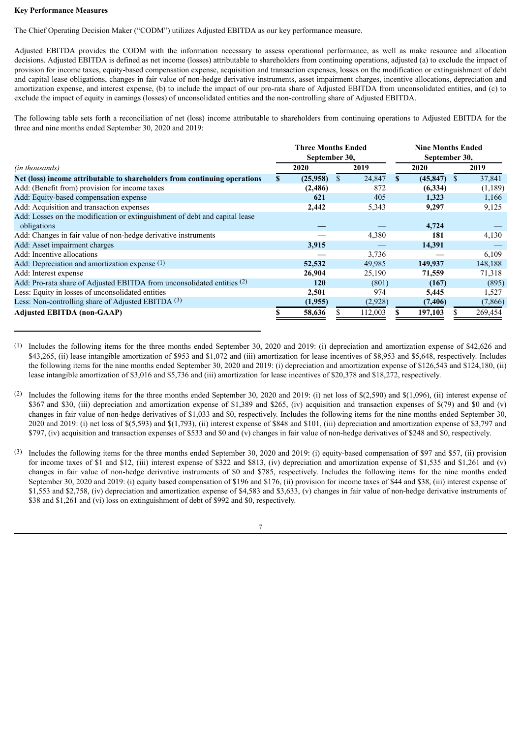#### **Key Performance Measures**

The Chief Operating Decision Maker ("CODM") utilizes Adjusted EBITDA as our key performance measure.

Adjusted EBITDA provides the CODM with the information necessary to assess operational performance, as well as make resource and allocation decisions. Adjusted EBITDA is defined as net income (losses) attributable to shareholders from continuing operations, adjusted (a) to exclude the impact of provision for income taxes, equity-based compensation expense, acquisition and transaction expenses, losses on the modification or extinguishment of debt and capital lease obligations, changes in fair value of non-hedge derivative instruments, asset impairment charges, incentive allocations, depreciation and amortization expense, and interest expense, (b) to include the impact of our pro-rata share of Adjusted EBITDA from unconsolidated entities, and (c) to exclude the impact of equity in earnings (losses) of unconsolidated entities and the non-controlling share of Adjusted EBITDA.

The following table sets forth a reconciliation of net (loss) income attributable to shareholders from continuing operations to Adjusted EBITDA for the three and nine months ended September 30, 2020 and 2019:

|                                                                             | <b>Three Months Ended</b><br>September 30, |          |    |         | <b>Nine Months Ended</b><br>September 30, |           |   |         |  |
|-----------------------------------------------------------------------------|--------------------------------------------|----------|----|---------|-------------------------------------------|-----------|---|---------|--|
| (in thousands)                                                              |                                            | 2020     |    | 2019    |                                           | 2020      |   | 2019    |  |
| Net (loss) income attributable to shareholders from continuing operations   | S.                                         | (25,958) | \$ | 24,847  | \$                                        | (45, 847) | S | 37,841  |  |
| Add: (Benefit from) provision for income taxes                              |                                            | (2,486)  |    | 872     |                                           | (6,334)   |   | (1,189) |  |
| Add: Equity-based compensation expense                                      |                                            | 621      |    | 405     |                                           | 1,323     |   | 1,166   |  |
| Add: Acquisition and transaction expenses                                   |                                            | 2,442    |    | 5,343   |                                           | 9,297     |   | 9,125   |  |
| Add: Losses on the modification or extinguishment of debt and capital lease |                                            |          |    |         |                                           |           |   |         |  |
| obligations                                                                 |                                            |          |    |         |                                           | 4,724     |   |         |  |
| Add: Changes in fair value of non-hedge derivative instruments              |                                            |          |    | 4,380   |                                           | 181       |   | 4,130   |  |
| Add: Asset impairment charges                                               |                                            | 3,915    |    |         |                                           | 14,391    |   |         |  |
| Add: Incentive allocations                                                  |                                            |          |    | 3,736   |                                           |           |   | 6,109   |  |
| Add: Depreciation and amortization expense $(1)$                            |                                            | 52,532   |    | 49,985  |                                           | 149,937   |   | 148,188 |  |
| Add: Interest expense                                                       |                                            | 26,904   |    | 25,190  |                                           | 71,559    |   | 71,318  |  |
| Add: Pro-rata share of Adjusted EBITDA from unconsolidated entities $(2)$   |                                            | 120      |    | (801)   |                                           | (167)     |   | (895)   |  |
| Less: Equity in losses of unconsolidated entities                           |                                            | 2,501    |    | 974     |                                           | 5,445     |   | 1,527   |  |
| Less: Non-controlling share of Adjusted EBITDA (3)                          |                                            | (1,955)  |    | (2,928) |                                           | (7,406)   |   | (7,866) |  |
| <b>Adjusted EBITDA (non-GAAP)</b>                                           |                                            | 58,636   |    | 112,003 |                                           | 197,103   |   | 269,454 |  |

(1) Includes the following items for the three months ended September 30, 2020 and 2019: (i) depreciation and amortization expense of \$42,626 and \$43,265, (ii) lease intangible amortization of \$953 and \$1,072 and (iii) amortization for lease incentives of \$8,953 and \$5,648, respectively. Includes the following items for the nine months ended September 30, 2020 and 2019: (i) depreciation and amortization expense of \$126,543 and \$124,180, (ii) lease intangible amortization of \$3,016 and \$5,736 and (iii) amortization for lease incentives of \$20,378 and \$18,272, respectively.

- (2) Includes the following items for the three months ended September 30, 2020 and 2019: (i) net loss of  $\$(2,590)$  and  $\$(1,096)$ , (ii) interest expense of \$367 and \$30, (iii) depreciation and amortization expense of \$1,389 and \$265, (iv) acquisition and transaction expenses of \$(79) and \$0 and (v) changes in fair value of non-hedge derivatives of \$1,033 and \$0, respectively. Includes the following items for the nine months ended September 30, 2020 and 2019: (i) net loss of  $\frac{6}{5}$ (5,593) and  $\frac{6}{1}$ ,793), (ii) interest expense of \$848 and \$101, (iii) depreciation and amortization expense of \$3,797 and \$797, (iv) acquisition and transaction expenses of \$533 and \$0 and (v) changes in fair value of non-hedge derivatives of \$248 and \$0, respectively.
- (3) Includes the following items for the three months ended September 30, 2020 and 2019: (i) equity-based compensation of \$97 and \$57, (ii) provision for income taxes of \$1 and \$12, (iii) interest expense of \$322 and \$813, (iv) depreciation and amortization expense of \$1,535 and \$1,261 and (v) changes in fair value of non-hedge derivative instruments of \$0 and \$785, respectively. Includes the following items for the nine months ended September 30, 2020 and 2019: (i) equity based compensation of \$196 and \$176, (ii) provision for income taxes of \$44 and \$38, (iii) interest expense of \$1,553 and \$2,758, (iv) depreciation and amortization expense of \$4,583 and \$3,633, (v) changes in fair value of non-hedge derivative instruments of \$38 and \$1,261 and (vi) loss on extinguishment of debt of \$992 and \$0, respectively.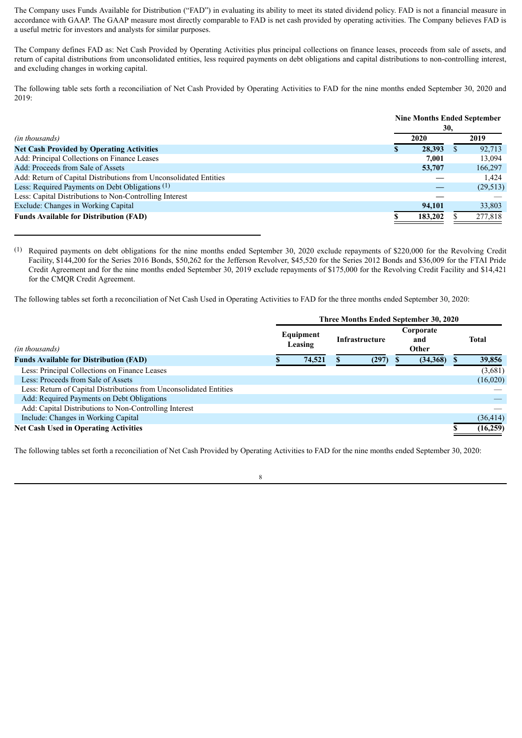The Company uses Funds Available for Distribution ("FAD") in evaluating its ability to meet its stated dividend policy. FAD is not a financial measure in accordance with GAAP. The GAAP measure most directly comparable to FAD is net cash provided by operating activities. The Company believes FAD is a useful metric for investors and analysts for similar purposes.

The Company defines FAD as: Net Cash Provided by Operating Activities plus principal collections on finance leases, proceeds from sale of assets, and return of capital distributions from unconsolidated entities, less required payments on debt obligations and capital distributions to non-controlling interest, and excluding changes in working capital.

The following table sets forth a reconciliation of Net Cash Provided by Operating Activities to FAD for the nine months ended September 30, 2020 and 2019:

|                                                                   | <b>Nine Months Ended September</b> |         |  |           |  |  |
|-------------------------------------------------------------------|------------------------------------|---------|--|-----------|--|--|
|                                                                   |                                    | 30.     |  |           |  |  |
| (in thousands)                                                    |                                    | 2020    |  | 2019      |  |  |
| <b>Net Cash Provided by Operating Activities</b>                  |                                    | 28.393  |  | 92.713    |  |  |
| Add: Principal Collections on Finance Leases                      |                                    | 7.001   |  | 13,094    |  |  |
| Add: Proceeds from Sale of Assets                                 |                                    | 53,707  |  | 166,297   |  |  |
| Add: Return of Capital Distributions from Unconsolidated Entities |                                    |         |  | 1.424     |  |  |
| Less: Required Payments on Debt Obligations (1)                   |                                    |         |  | (29, 513) |  |  |
| Less: Capital Distributions to Non-Controlling Interest           |                                    |         |  |           |  |  |
| Exclude: Changes in Working Capital                               |                                    | 94,101  |  | 33,803    |  |  |
| <b>Funds Available for Distribution (FAD)</b>                     |                                    | 183,202 |  | 277,818   |  |  |

(1) Required payments on debt obligations for the nine months ended September 30, 2020 exclude repayments of \$220,000 for the Revolving Credit Facility, \$144,200 for the Series 2016 Bonds, \$50,262 for the Jefferson Revolver, \$45,520 for the Series 2012 Bonds and \$36,009 for the FTAI Pride Credit Agreement and for the nine months ended September 30, 2019 exclude repayments of \$175,000 for the Revolving Credit Facility and \$14,421 for the CMQR Credit Agreement.

The following tables set forth a reconciliation of Net Cash Used in Operating Activities to FAD for the three months ended September 30, 2020:

|                                                                    | Three Months Ended September 30, 2020 |                      |                |       |                                  |          |  |              |  |  |  |
|--------------------------------------------------------------------|---------------------------------------|----------------------|----------------|-------|----------------------------------|----------|--|--------------|--|--|--|
| (in thousands)                                                     |                                       | Equipment<br>Leasing | Infrastructure |       | Corporate<br>and<br><b>Other</b> |          |  | <b>Total</b> |  |  |  |
| <b>Funds Available for Distribution (FAD)</b>                      |                                       | 74,521               |                | (297) |                                  | (34,368) |  | 39,856       |  |  |  |
| Less: Principal Collections on Finance Leases                      |                                       |                      |                |       |                                  |          |  | (3,681)      |  |  |  |
| Less: Proceeds from Sale of Assets                                 |                                       |                      |                |       |                                  |          |  | (16,020)     |  |  |  |
| Less: Return of Capital Distributions from Unconsolidated Entities |                                       |                      |                |       |                                  |          |  |              |  |  |  |
| Add: Required Payments on Debt Obligations                         |                                       |                      |                |       |                                  |          |  |              |  |  |  |
| Add: Capital Distributions to Non-Controlling Interest             |                                       |                      |                |       |                                  |          |  |              |  |  |  |
| Include: Changes in Working Capital                                |                                       |                      |                |       |                                  |          |  | (36, 414)    |  |  |  |
| <b>Net Cash Used in Operating Activities</b>                       |                                       |                      |                |       |                                  |          |  | (16, 259)    |  |  |  |

The following tables set forth a reconciliation of Net Cash Provided by Operating Activities to FAD for the nine months ended September 30, 2020: